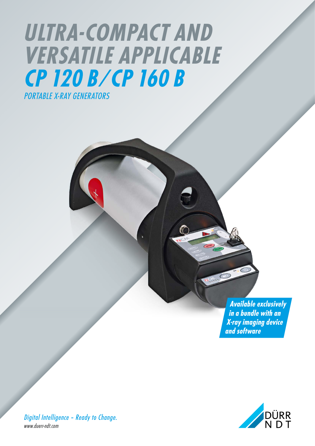## *ULTRA-COMPACT AND VERSATILE APPLICABLE CP 120 B ⁄ CP 160 B PORTABLE X-RAY GENERATORS*

*Available exclusively in a bundle with an X-ray imaging device and software*



*Digital Intelligence – Ready to Change. www.duerr-ndt.com*